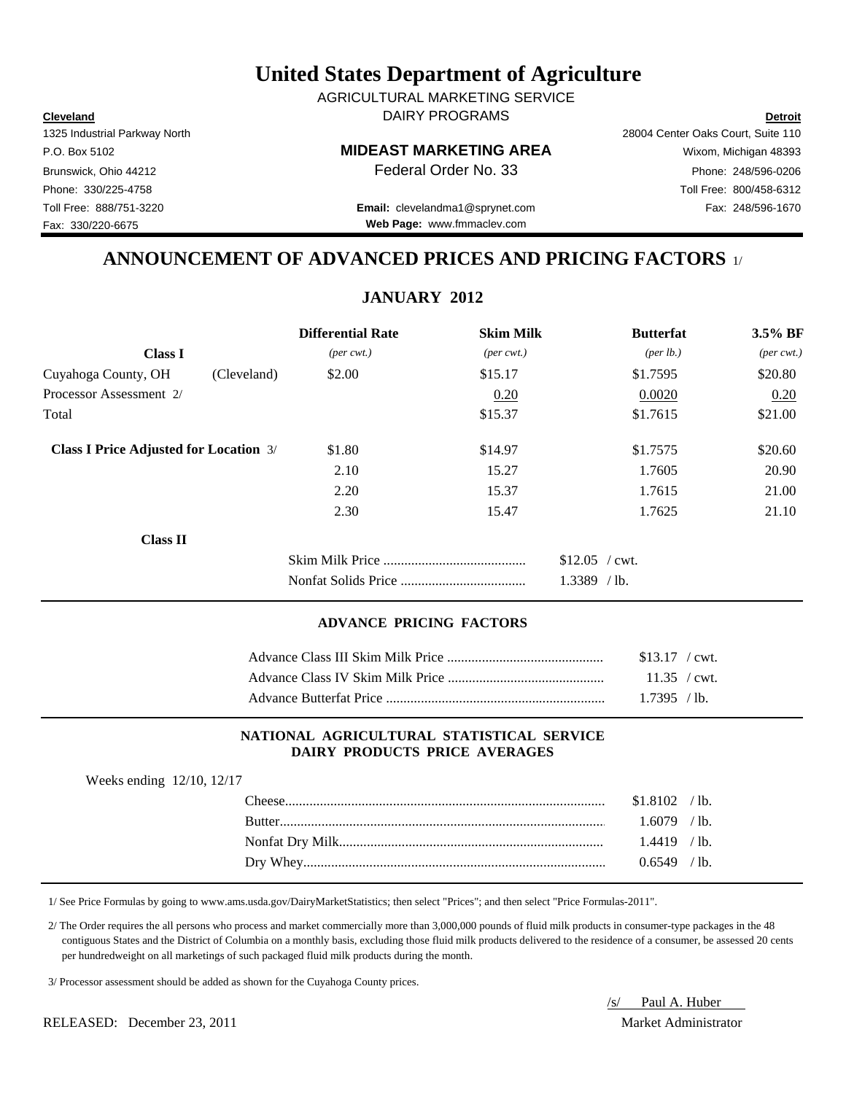**Cleveland Detroit** DAIRY PROGRAMS AGRICULTURAL MARKETING SERVICE

Fax: 330/220-6675

P.O. Box 5102 **MIDEAST MARKETING AREA** Wixom, Michigan 48393

Toll Free: 888/751-3220 Fax: 248/596-1670 **Email:** clevelandma1@sprynet.com **Web Page:** www.fmmaclev.com

1325 Industrial Parkway North 28004 Center Oaks Court, Suite 110 Brunswick, Ohio 44212 **Phone: 248/596-0206 Federal Order No. 33** Phone: 248/596-0206 Phone: 330/225-4758 Toll Free: 800/458-6312

### **ANNOUNCEMENT OF ADVANCED PRICES AND PRICING FACTORS** 1/

## **JANUARY 2012**

|                                               |             | <b>Differential Rate</b>    | <b>Skim Milk</b>            | <b>Butterfat</b>                 | $3.5\%$ BF                  |
|-----------------------------------------------|-------------|-----------------------------|-----------------------------|----------------------------------|-----------------------------|
| <b>Class I</b>                                |             | $(\text{per} \text{ cwt.})$ | $(\text{per} \text{ cwt.})$ | ${\rm (per \, lb.)}$             | $(\text{per} \text{ cwt.})$ |
| Cuyahoga County, OH                           | (Cleveland) | \$2.00                      | \$15.17                     | \$1.7595                         | \$20.80                     |
| Processor Assessment 2/                       |             |                             | 0.20                        | 0.0020                           | 0.20                        |
| Total                                         |             |                             | \$15.37                     | \$1.7615                         | \$21.00                     |
| <b>Class I Price Adjusted for Location 3/</b> |             | \$1.80                      | \$14.97                     | \$1.7575                         | \$20.60                     |
|                                               |             | 2.10                        | 15.27                       | 1.7605                           | 20.90                       |
|                                               |             | 2.20                        | 15.37                       | 1.7615                           | 21.00                       |
|                                               |             | 2.30                        | 15.47                       | 1.7625                           | 21.10                       |
| <b>Class II</b>                               |             |                             |                             |                                  |                             |
|                                               |             |                             |                             | $$12.05$ / cwt.<br>$1.3389$ /lb. |                             |

#### **ADVANCE PRICING FACTORS**

| $$13.17$ / cwt. |  |
|-----------------|--|
|                 |  |
| $1.7395$ /lb.   |  |

#### **NATIONAL AGRICULTURAL STATISTICAL SERVICE DAIRY PRODUCTS PRICE AVERAGES**

| $1.6079$ /lb.  |  |
|----------------|--|
| $1.4419$ / lb. |  |
| $0.6549$ /lb.  |  |
|                |  |

1/ See Price Formulas by going to www.ams.usda.gov/DairyMarketStatistics; then select "Prices"; and then select "Price Formulas-2011".

 2/ The Order requires the all persons who process and market commercially more than 3,000,000 pounds of fluid milk products in consumer-type packages in the 48 contiguous States and the District of Columbia on a monthly basis, excluding those fluid milk products delivered to the residence of a consumer, be assessed 20 cents per hundredweight on all marketings of such packaged fluid milk products during the month.

3/ Processor assessment should be added as shown for the Cuyahoga County prices.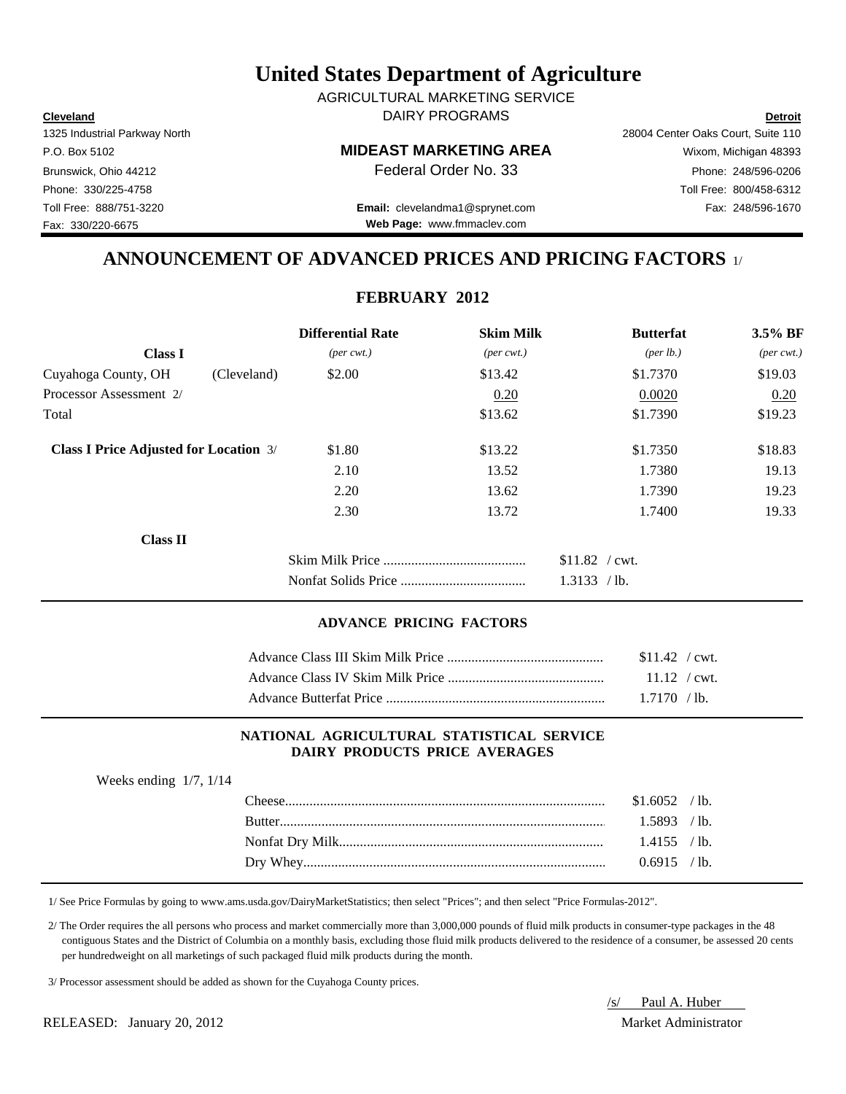**Cleveland Detroit** DAIRY PROGRAMS AGRICULTURAL MARKETING SERVICE

Fax: 330/220-6675

P.O. Box 5102 **MIDEAST MARKETING AREA** Wixom, Michigan 48393

Toll Free: 888/751-3220 Fax: 248/596-1670 **Email:** clevelandma1@sprynet.com **Web Page:** www.fmmaclev.com

# 1325 Industrial Parkway North 28004 Center Oaks Court, Suite 110 Brunswick, Ohio 44212 **Phone: 248/596-0206 Federal Order No. 33** Phone: 248/596-0206 Phone: 330/225-4758 Toll Free: 800/458-6312

### **ANNOUNCEMENT OF ADVANCED PRICES AND PRICING FACTORS** 1/

### **FEBRUARY 2012**

|                                               |             | <b>Differential Rate</b>    | <b>Skim Milk</b>            | <b>Butterfat</b>                | $3.5\%$ BF                  |
|-----------------------------------------------|-------------|-----------------------------|-----------------------------|---------------------------------|-----------------------------|
| <b>Class I</b>                                |             | $(\text{per} \text{ cwt.})$ | $(\text{per} \text{ cwt.})$ | ${\rm (per \, lb.)}$            | $(\text{per} \text{ cwt.})$ |
| Cuyahoga County, OH                           | (Cleveland) | \$2.00                      | \$13.42                     | \$1.7370                        | \$19.03                     |
| Processor Assessment 2/                       |             |                             | 0.20                        | 0.0020                          | 0.20                        |
| Total                                         |             |                             | \$13.62                     | \$1.7390                        | \$19.23                     |
| <b>Class I Price Adjusted for Location 3/</b> |             | \$1.80                      | \$13.22                     | \$1.7350                        | \$18.83                     |
|                                               |             | 2.10                        | 13.52                       | 1.7380                          | 19.13                       |
|                                               |             | 2.20                        | 13.62                       | 1.7390                          | 19.23                       |
|                                               |             | 2.30                        | 13.72                       | 1.7400                          | 19.33                       |
| <b>Class II</b>                               |             |                             |                             |                                 |                             |
|                                               |             |                             |                             | $$11.82$ / cwt.<br>1.3133 / lb. |                             |

#### **ADVANCE PRICING FACTORS**

| $$11.42$ / cwt. |
|-----------------|
|                 |
| $1.7170$ /lb.   |

#### **NATIONAL AGRICULTURAL STATISTICAL SERVICE DAIRY PRODUCTS PRICE AVERAGES**

| Weeks ending $1/7$ , $1/14$ |                  |                |  |
|-----------------------------|------------------|----------------|--|
|                             | $\text{Cheese}.$ | $$1.6052$ /lb. |  |
|                             |                  | $1.5893$ /lb.  |  |
|                             |                  | $1.4155$ /lb.  |  |
|                             |                  | $0.6915$ /lb.  |  |
|                             |                  |                |  |

1/ See Price Formulas by going to www.ams.usda.gov/DairyMarketStatistics; then select "Prices"; and then select "Price Formulas-2012".

 2/ The Order requires the all persons who process and market commercially more than 3,000,000 pounds of fluid milk products in consumer-type packages in the 48 contiguous States and the District of Columbia on a monthly basis, excluding those fluid milk products delivered to the residence of a consumer, be assessed 20 cents per hundredweight on all marketings of such packaged fluid milk products during the month.

3/ Processor assessment should be added as shown for the Cuyahoga County prices.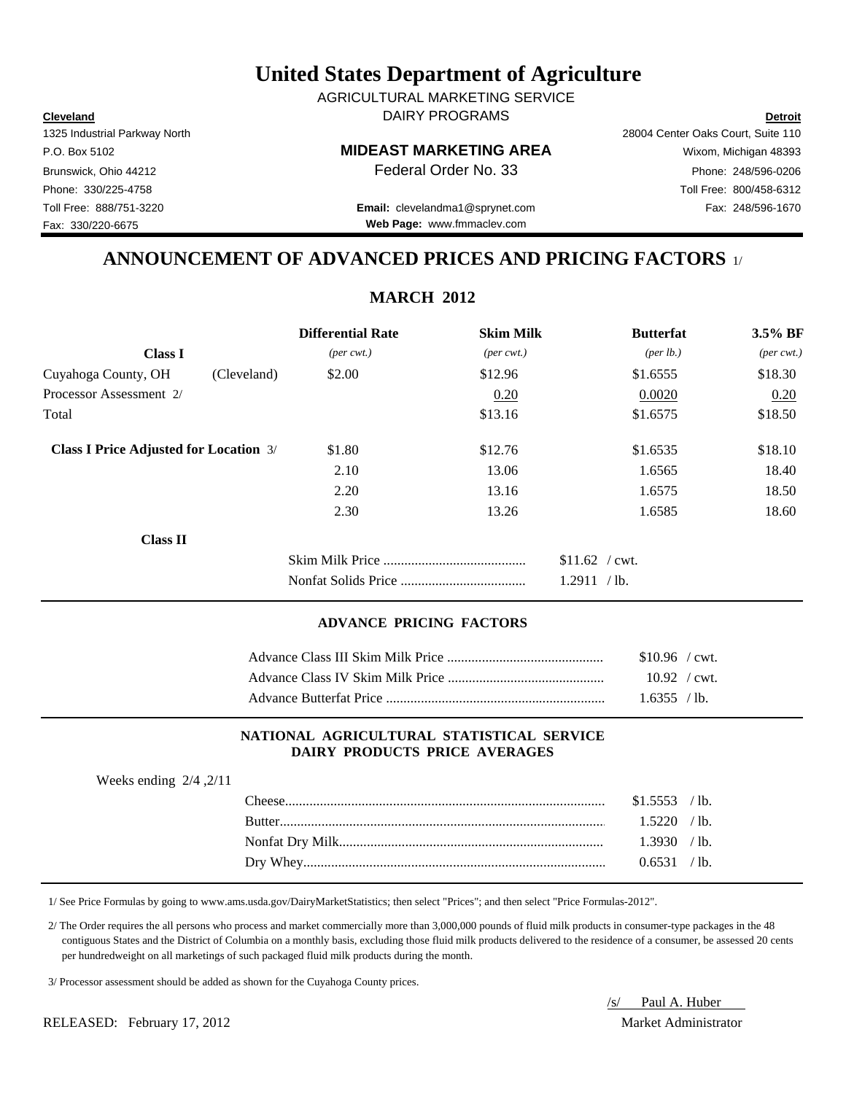**Cleveland Detroit** DAIRY PROGRAMS AGRICULTURAL MARKETING SERVICE

Fax: 330/220-6675

P.O. Box 5102 **MIDEAST MARKETING AREA** Wixom, Michigan 48393

Toll Free: 888/751-3220 Fax: 248/596-1670 **Email:** clevelandma1@sprynet.com **Web Page:** www.fmmaclev.com

1325 Industrial Parkway North 28004 Center Oaks Court, Suite 110 Brunswick, Ohio 44212 **Phone: 248/596-0206 Federal Order No. 33** Phone: 248/596-0206 Phone: 330/225-4758 Toll Free: 800/458-6312

### **ANNOUNCEMENT OF ADVANCED PRICES AND PRICING FACTORS** 1/

**MARCH 2012**

|                                               |             | <b>Differential Rate</b>    | <b>Skim Milk</b>            | <b>Butterfat</b>     | 3.5% BF                     |
|-----------------------------------------------|-------------|-----------------------------|-----------------------------|----------------------|-----------------------------|
| <b>Class I</b>                                |             | $(\text{per} \text{ cwt.})$ | $(\text{per} \text{ cwt.})$ | ${\rm (per \, lb.)}$ | $(\text{per} \text{ cwt.})$ |
| Cuyahoga County, OH                           | (Cleveland) | \$2.00                      | \$12.96                     | \$1.6555             | \$18.30                     |
| Processor Assessment 2/                       |             |                             | 0.20                        | 0.0020               | 0.20                        |
| Total                                         |             |                             | \$13.16                     | \$1.6575             | \$18.50                     |
| <b>Class I Price Adjusted for Location 3/</b> |             | \$1.80                      | \$12.76                     | \$1.6535             | \$18.10                     |
|                                               |             | 2.10                        | 13.06                       | 1.6565               | 18.40                       |
|                                               |             | 2.20                        | 13.16                       | 1.6575               | 18.50                       |
|                                               |             | 2.30                        | 13.26                       | 1.6585               | 18.60                       |
| <b>Class II</b>                               |             |                             |                             |                      |                             |
|                                               |             |                             |                             | $$11.62$ / cwt.      |                             |
|                                               |             |                             |                             | 1.2911 / lb.         |                             |
|                                               |             |                             |                             |                      |                             |

#### **ADVANCE PRICING FACTORS**

| $$10.96$ / cwt. |  |
|-----------------|--|
| $10.92$ / cwt.  |  |
| 1.6355 / h.     |  |

#### **NATIONAL AGRICULTURAL STATISTICAL SERVICE DAIRY PRODUCTS PRICE AVERAGES**

| Weeks ending $2/4$ , $2/11$ |                |  |
|-----------------------------|----------------|--|
|                             | $$1.5553$ /lb. |  |
|                             | $1.5220$ /lb.  |  |
|                             | 1.3930 / lb.   |  |
|                             | 0.6531 / lb.   |  |
|                             |                |  |

1/ See Price Formulas by going to www.ams.usda.gov/DairyMarketStatistics; then select "Prices"; and then select "Price Formulas-2012".

 2/ The Order requires the all persons who process and market commercially more than 3,000,000 pounds of fluid milk products in consumer-type packages in the 48 contiguous States and the District of Columbia on a monthly basis, excluding those fluid milk products delivered to the residence of a consumer, be assessed 20 cents per hundredweight on all marketings of such packaged fluid milk products during the month.

3/ Processor assessment should be added as shown for the Cuyahoga County prices.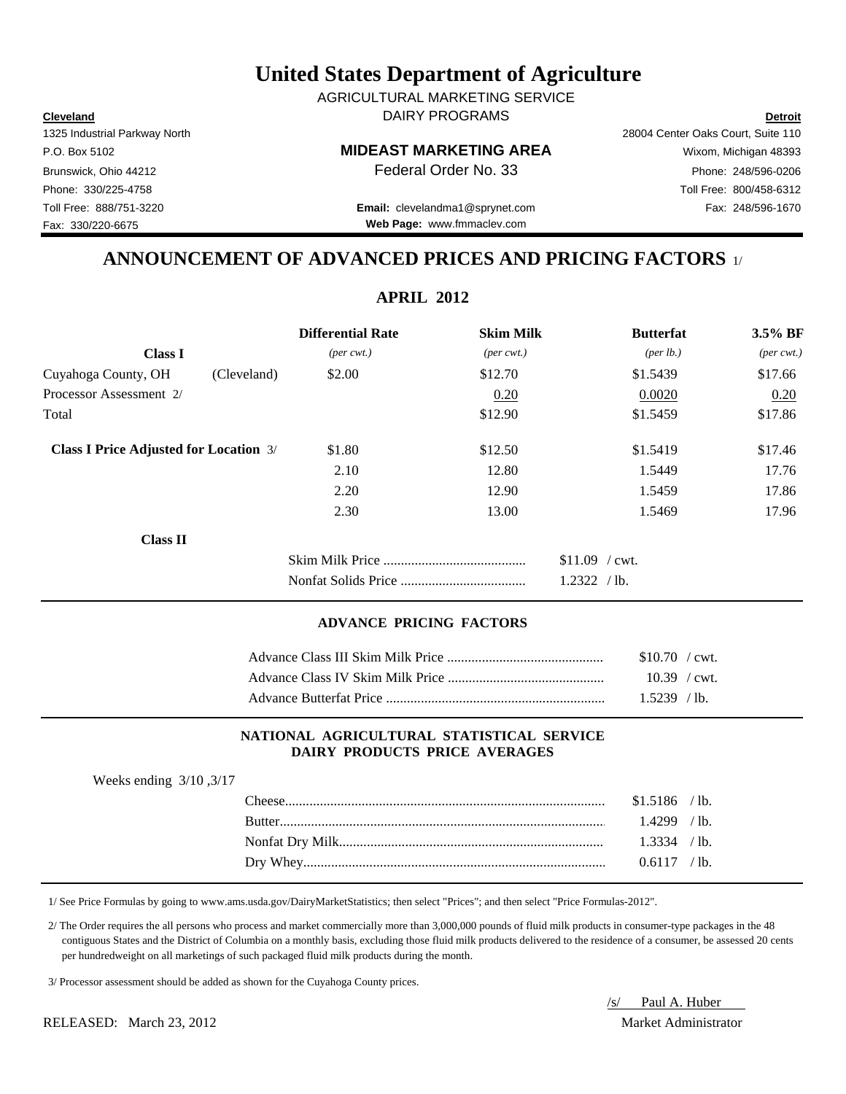**Cleveland Detroit** DAIRY PROGRAMS AGRICULTURAL MARKETING SERVICE

Fax: 330/220-6675

# P.O. Box 5102 **MIDEAST MARKETING AREA** Wixom, Michigan 48393

Toll Free: 888/751-3220 Fax: 248/596-1670 **Email:** clevelandma1@sprynet.com **Web Page:** www.fmmaclev.com

1325 Industrial Parkway North 28004 Center Oaks Court, Suite 110 Brunswick, Ohio 44212 **Phone: 248/596-0206 Federal Order No. 33** Phone: 248/596-0206 Phone: 330/225-4758 Toll Free: 800/458-6312

### **ANNOUNCEMENT OF ADVANCED PRICES AND PRICING FACTORS** 1/

**APRIL 2012**

|                                               | <b>Differential Rate</b>    | <b>Skim Milk</b>            | <b>Butterfat</b>     | $3.5\%$ BF                  |
|-----------------------------------------------|-----------------------------|-----------------------------|----------------------|-----------------------------|
| <b>Class I</b>                                | $(\text{per} \text{ cwt.})$ | $(\text{per} \text{ cwt.})$ | ${\rm (per \, lb.)}$ | $(\text{per} \text{ cwt.})$ |
| Cuyahoga County, OH<br>(Cleveland)            | \$2.00                      | \$12.70                     | \$1.5439             | \$17.66                     |
| Processor Assessment 2/                       |                             | 0.20                        | 0.0020               | 0.20                        |
| Total                                         |                             | \$12.90                     | \$1.5459             | \$17.86                     |
| <b>Class I Price Adjusted for Location 3/</b> | \$1.80                      | \$12.50                     | \$1.5419             | \$17.46                     |
|                                               | 2.10                        | 12.80                       | 1.5449               | 17.76                       |
|                                               | 2.20                        | 12.90                       | 1.5459               | 17.86                       |
|                                               | 2.30                        | 13.00                       | 1.5469               | 17.96                       |
| <b>Class II</b>                               |                             |                             |                      |                             |
|                                               |                             |                             | $$11.09$ / cwt.      |                             |
|                                               |                             |                             | 1.2322 / lb.         |                             |

#### **ADVANCE PRICING FACTORS**

| $$10.70$ / cwt. |  |
|-----------------|--|
| $10.39$ / cwt.  |  |
| $1.5239$ /lb.   |  |

#### **NATIONAL AGRICULTURAL STATISTICAL SERVICE DAIRY PRODUCTS PRICE AVERAGES**

| Weeks ending $3/10$ , $3/17$ |                |  |
|------------------------------|----------------|--|
|                              | $$1.5186$ /lb. |  |
|                              | $1.4299$ /lb.  |  |
|                              | $1.3334$ / lb. |  |
|                              | $0.6117$ /lb.  |  |
|                              |                |  |

1/ See Price Formulas by going to www.ams.usda.gov/DairyMarketStatistics; then select "Prices"; and then select "Price Formulas-2012".

 2/ The Order requires the all persons who process and market commercially more than 3,000,000 pounds of fluid milk products in consumer-type packages in the 48 contiguous States and the District of Columbia on a monthly basis, excluding those fluid milk products delivered to the residence of a consumer, be assessed 20 cents per hundredweight on all marketings of such packaged fluid milk products during the month.

3/ Processor assessment should be added as shown for the Cuyahoga County prices.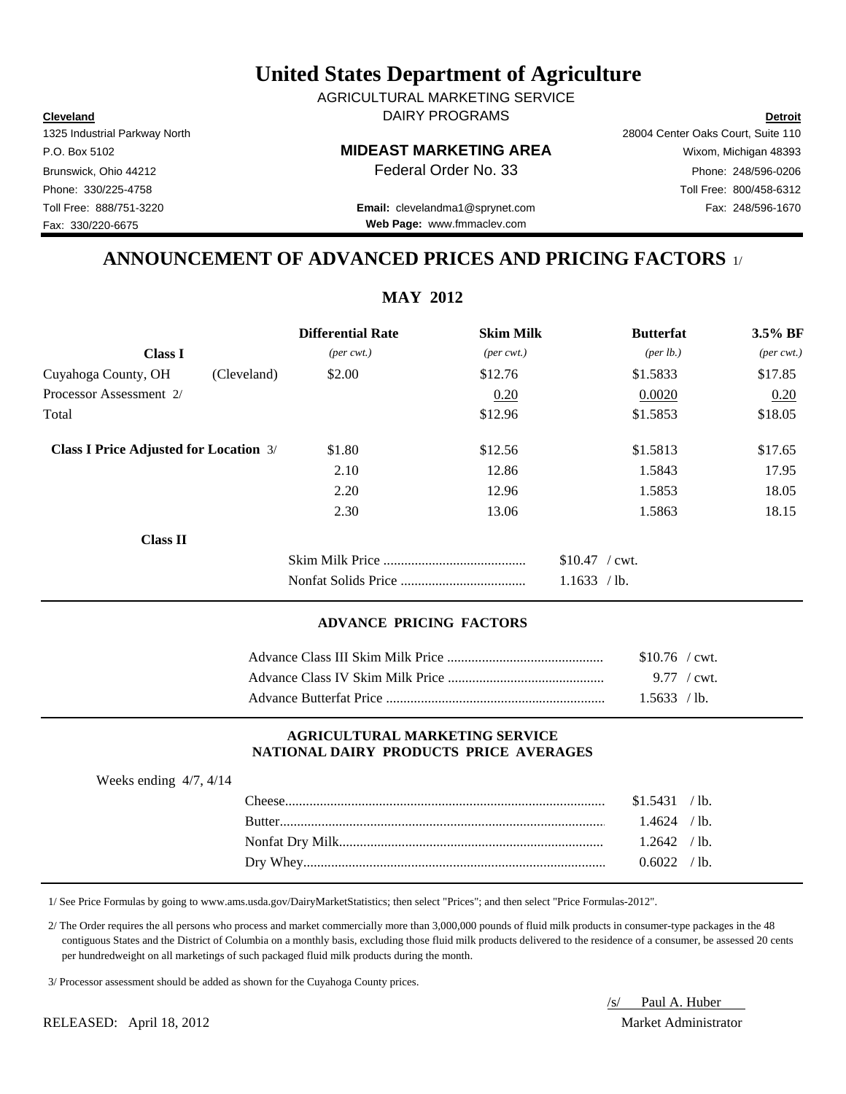**Cleveland Detroit** DAIRY PROGRAMS AGRICULTURAL MARKETING SERVICE

Fax: 330/220-6675

# P.O. Box 5102 **MIDEAST MARKETING AREA** Wixom, Michigan 48393

Toll Free: 888/751-3220 Fax: 248/596-1670 **Email:** clevelandma1@sprynet.com **Web Page:** www.fmmaclev.com

1325 Industrial Parkway North 28004 Center Oaks Court, Suite 110 Brunswick, Ohio 44212 **Phone: 248/596-0206 Federal Order No. 33** Phone: 248/596-0206 Phone: 330/225-4758 Toll Free: 800/458-6312

### **ANNOUNCEMENT OF ADVANCED PRICES AND PRICING FACTORS** 1/

|                                               |             | <b>Differential Rate</b>    | <b>Skim Milk</b>            |                 | <b>Butterfat</b>     | $3.5\%$ BF                  |
|-----------------------------------------------|-------------|-----------------------------|-----------------------------|-----------------|----------------------|-----------------------------|
| <b>Class I</b>                                |             | $(\text{per} \text{ cwt.})$ | $(\text{per} \text{ cwt.})$ |                 | ${\rm (per \, lb.)}$ | $(\text{per} \text{ cwt.})$ |
| Cuyahoga County, OH                           | (Cleveland) | \$2.00                      | \$12.76                     |                 | \$1.5833             | \$17.85                     |
| Processor Assessment 2/                       |             |                             | 0.20                        |                 | 0.0020               | 0.20                        |
| Total                                         |             |                             | \$12.96                     |                 | \$1.5853             | \$18.05                     |
| <b>Class I Price Adjusted for Location 3/</b> |             | \$1.80                      | \$12.56                     |                 | \$1.5813             | \$17.65                     |
|                                               |             | 2.10                        | 12.86                       |                 | 1.5843               | 17.95                       |
|                                               |             | 2.20                        | 12.96                       |                 | 1.5853               | 18.05                       |
|                                               |             | 2.30                        | 13.06                       |                 | 1.5863               | 18.15                       |
| <b>Class II</b>                               |             |                             |                             |                 |                      |                             |
|                                               |             |                             |                             | $$10.47$ / cwt. |                      |                             |
|                                               |             |                             |                             | 1.1633 / lb.    |                      |                             |

#### **ADVANCE PRICING FACTORS**

| $$10.76$ / cwt. |
|-----------------|
|                 |
| 1.5633 / h      |

#### **AGRICULTURAL MARKETING SERVICE NATIONAL DAIRY PRODUCTS PRICE AVERAGES**

| Weeks ending $4/7$ , $4/14$ |                  |                    |  |
|-----------------------------|------------------|--------------------|--|
|                             | $\text{Cheese}.$ | $$1.5431$ / lb.    |  |
|                             |                  | $1.4624$ / lb.     |  |
|                             |                  | $1.2642 \div h$    |  |
|                             |                  | $0.6022 \div 1$ h. |  |
|                             |                  |                    |  |

1/ See Price Formulas by going to www.ams.usda.gov/DairyMarketStatistics; then select "Prices"; and then select "Price Formulas-2012".

 2/ The Order requires the all persons who process and market commercially more than 3,000,000 pounds of fluid milk products in consumer-type packages in the 48 contiguous States and the District of Columbia on a monthly basis, excluding those fluid milk products delivered to the residence of a consumer, be assessed 20 cents per hundredweight on all marketings of such packaged fluid milk products during the month.

3/ Processor assessment should be added as shown for the Cuyahoga County prices.

/s/ Paul A. Huber

#### **MAY 2012**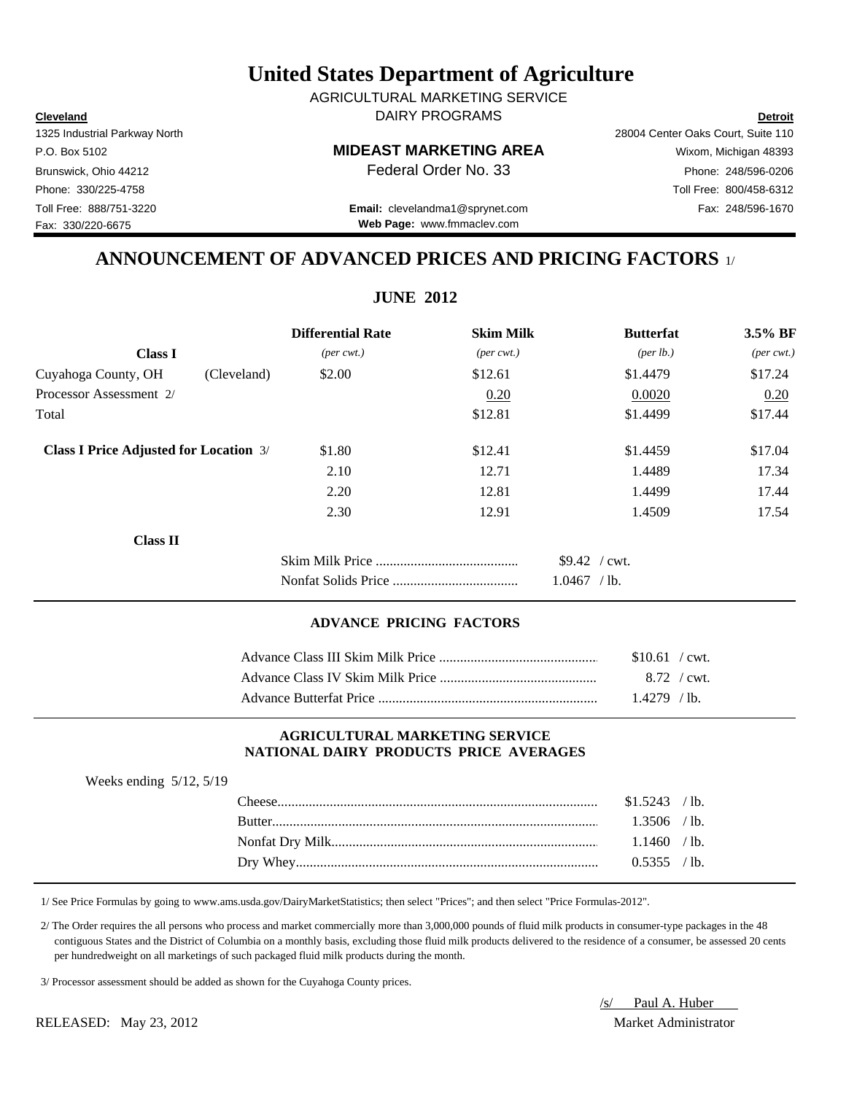| $$9.42$ / cwt |
|---------------|
| $1.0467$ /lb. |

#### **ADVANCE PRICING FACTORS**

| $$10.61$ / cwt. |  |
|-----------------|--|
| 8.72 / cwt.     |  |
| $1.4279$ /lb.   |  |

#### **AGRICULTURAL MARKETING SERVICE NATIONAL DAIRY PRODUCTS PRICE AVERAGES**

| Weeks ending $5/12$ , $5/19$ |                |  |
|------------------------------|----------------|--|
|                              | $$1.5243$ /lb. |  |
|                              | $1.3506$ /lb.  |  |
|                              | $1.1460$ /lb.  |  |
|                              | 0.5355 / lb.   |  |
|                              |                |  |

1/ See Price Formulas by going to www.ams.usda.gov/DairyMarketStatistics; then select "Prices"; and then select "Price Formulas-2012".

 2/ The Order requires the all persons who process and market commercially more than 3,000,000 pounds of fluid milk products in consumer-type packages in the 48 contiguous States and the District of Columbia on a monthly basis, excluding those fluid milk products delivered to the residence of a consumer, be assessed 20 cents per hundredweight on all marketings of such packaged fluid milk products during the month.

3/ Processor assessment should be added as shown for the Cuyahoga County prices.

Fax: 330/220-6675

### **United States Department of Agriculture**

**Cleveland Detroit** DAIRY PROGRAMS AGRICULTURAL MARKETING SERVICE

#### P.O. Box 5102 **MIDEAST MARKETING AREA** Wixom, Michigan 48393

Brunswick, Ohio 44212 **Phone: 248/596-0206 Federal Order No. 33** Phone: 248/596-0206

1325 Industrial Parkway North 28004 Center Oaks Court, Suite 110

Phone: 330/225-4758 Toll Free: 800/458-6312

**Web Page:** www.fmmaclev.com

### **ANNOUNCEMENT OF ADVANCED PRICES AND PRICING FACTORS** 1/

**JUNE 2012**

|                                               | <b>Differential Rate</b>    | <b>Skim Milk</b>            | <b>Butterfat</b>   | 3.5% BF                     |
|-----------------------------------------------|-----------------------------|-----------------------------|--------------------|-----------------------------|
| <b>Class I</b>                                | $(\text{per} \text{ cwt.})$ | $(\text{per} \text{ cwt.})$ | $(\text{per lb.})$ | $(\text{per} \text{ cwt.})$ |
| Cuyahoga County, OH<br>(Cleveland)            | \$2.00                      | \$12.61                     | \$1.4479           | \$17.24                     |
| Processor Assessment 2/                       |                             | 0.20                        | 0.0020             | 0.20                        |
| Total                                         |                             | \$12.81                     | \$1.4499           | \$17.44                     |
| <b>Class I Price Adjusted for Location 3/</b> | \$1.80                      | \$12.41                     | \$1.4459           | \$17.04                     |
|                                               | 2.10                        | 12.71                       | 1.4489             | 17.34                       |
|                                               | 2.20                        | 12.81                       | 1.4499             | 17.44                       |
|                                               | 2.30                        | 12.91                       | 1.4509             | 17.54                       |
| <b>Class II</b>                               |                             |                             |                    |                             |
|                                               |                             |                             | $$9.42$ / cwt.     |                             |
|                                               |                             |                             | $1.0467$ /lb.      |                             |

# Toll Free: 888/751-3220 Fax: 248/596-1670 **Email:** clevelandma1@sprynet.com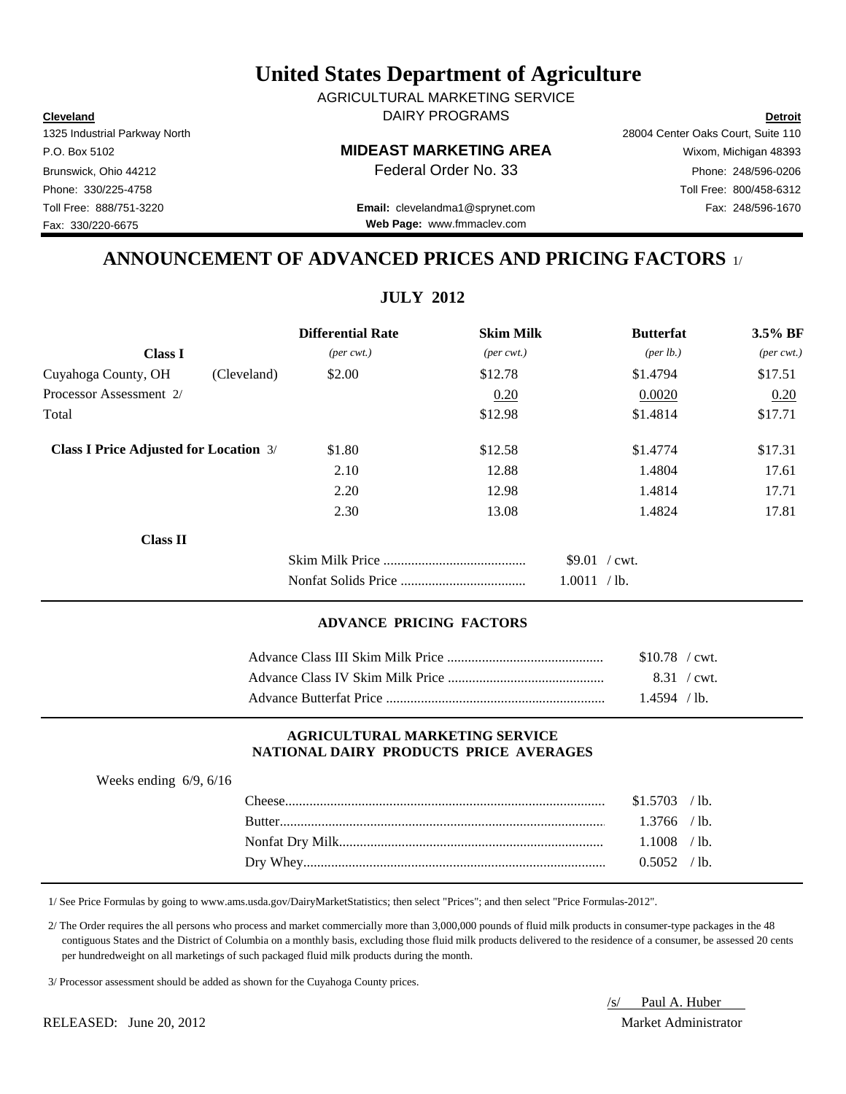**Cleveland Detroit** DAIRY PROGRAMS AGRICULTURAL MARKETING SERVICE

Fax: 330/220-6675

# P.O. Box 5102 **MIDEAST MARKETING AREA** Wixom, Michigan 48393

Toll Free: 888/751-3220 Fax: 248/596-1670 **Email:** clevelandma1@sprynet.com **Web Page:** www.fmmaclev.com

1325 Industrial Parkway North 28004 Center Oaks Court, Suite 110 Brunswick, Ohio 44212 **Phone: 248/596-0206 Federal Order No. 33** Phone: 248/596-0206 Phone: 330/225-4758 Toll Free: 800/458-6312

### **ANNOUNCEMENT OF ADVANCED PRICES AND PRICING FACTORS** 1/

| <b>Differential Rate</b>    | <b>Skim Milk</b>            | <b>Butterfat</b>   | 3.5% BF                     |
|-----------------------------|-----------------------------|--------------------|-----------------------------|
| $(\text{per} \text{ cwt.})$ | $(\text{per} \text{ cwt.})$ | $(\text{per lb.})$ | $(\text{per} \text{ cwt.})$ |
| \$2.00                      | \$12.78                     | \$1.4794           | \$17.51                     |
|                             | 0.20                        | 0.0020             | 0.20                        |
|                             | \$12.98                     | \$1.4814           | \$17.71                     |
| \$1.80                      | \$12.58                     | \$1.4774           | \$17.31                     |
| 2.10                        | 12.88                       | 1.4804             | 17.61                       |
| 2.20                        | 12.98                       | 1.4814             | 17.71                       |
| 2.30                        | 13.08                       | 1.4824             | 17.81                       |
|                             |                             |                    |                             |
|                             |                             | \$9.01 / cwt.      |                             |
|                             |                             |                    |                             |
|                             |                             |                    | 1.0011 / lb.                |

#### **ADVANCE PRICING FACTORS**

| $$10.78$ / cwt. |  |
|-----------------|--|
| 8.31 / cwt.     |  |
| $1.4594$ / lb.  |  |

#### **AGRICULTURAL MARKETING SERVICE NATIONAL DAIRY PRODUCTS PRICE AVERAGES**

| Weeks ending $6/9$ , $6/16$ |                  |                 |  |
|-----------------------------|------------------|-----------------|--|
|                             | $\text{Cheese}.$ | $$1.5703$ / lb. |  |
|                             |                  | $1.3766$ /lb.   |  |
|                             |                  | $1.1008$ /lb.   |  |
|                             |                  | $0.5052$ /lb.   |  |
|                             |                  |                 |  |

1/ See Price Formulas by going to www.ams.usda.gov/DairyMarketStatistics; then select "Prices"; and then select "Price Formulas-2012".

 2/ The Order requires the all persons who process and market commercially more than 3,000,000 pounds of fluid milk products in consumer-type packages in the 48 contiguous States and the District of Columbia on a monthly basis, excluding those fluid milk products delivered to the residence of a consumer, be assessed 20 cents per hundredweight on all marketings of such packaged fluid milk products during the month.

3/ Processor assessment should be added as shown for the Cuyahoga County prices.

/s/ Paul A. Huber

### **JULY 2012**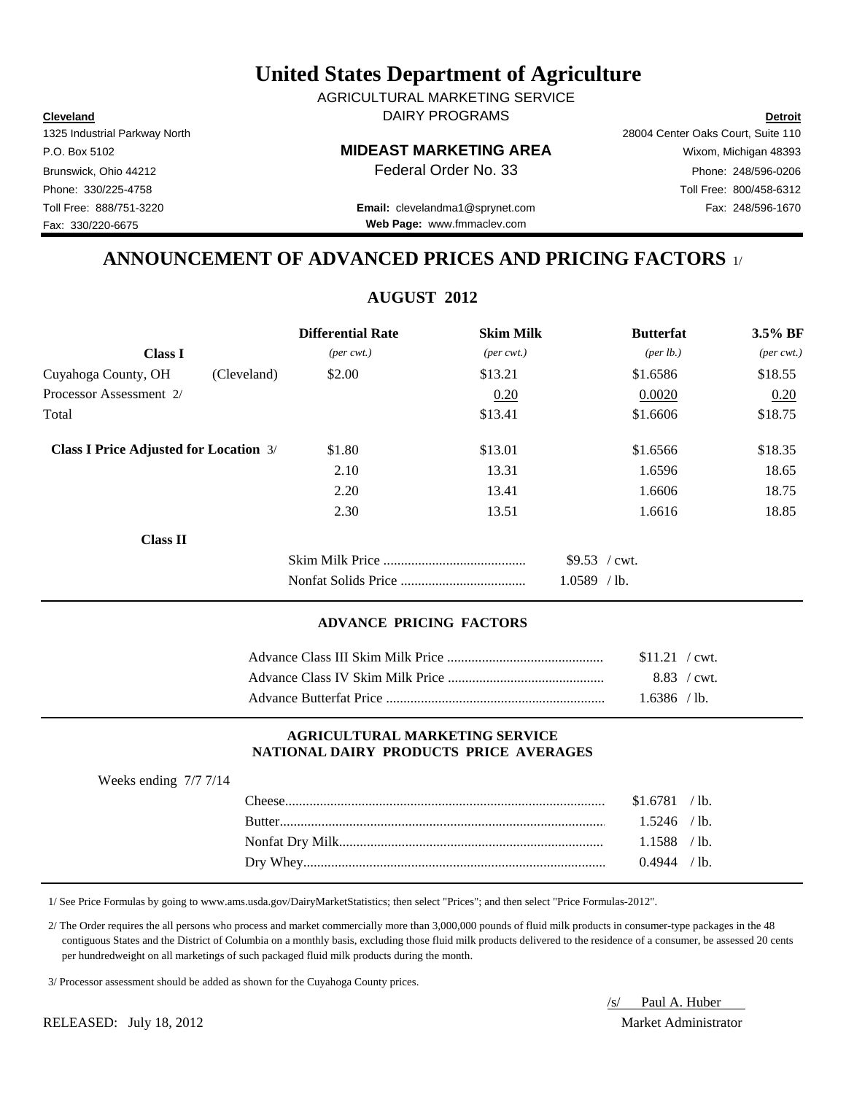**Cleveland Detroit** DAIRY PROGRAMS AGRICULTURAL MARKETING SERVICE

Fax: 330/220-6675

# P.O. Box 5102 **MIDEAST MARKETING AREA** Wixom, Michigan 48393

Toll Free: 888/751-3220 Fax: 248/596-1670 **Email:** clevelandma1@sprynet.com **Web Page:** www.fmmaclev.com

# 1325 Industrial Parkway North 28004 Center Oaks Court, Suite 110 Brunswick, Ohio 44212 **Phone: 248/596-0206 Federal Order No. 33** Phone: 248/596-0206 Phone: 330/225-4758 Toll Free: 800/458-6312

### **ANNOUNCEMENT OF ADVANCED PRICES AND PRICING FACTORS** 1/

**AUGUST 2012**

|                                               |             | <b>Differential Rate</b>    | <b>Skim Milk</b>            | <b>Butterfat</b>     | 3.5% BF                     |
|-----------------------------------------------|-------------|-----------------------------|-----------------------------|----------------------|-----------------------------|
| <b>Class I</b>                                |             | $(\text{per} \text{ cwt.})$ | $(\text{per} \text{ cwt.})$ | ${\rm (per \, lb.)}$ | $(\text{per} \text{ cwt.})$ |
| Cuyahoga County, OH                           | (Cleveland) | \$2.00                      | \$13.21                     | \$1.6586             | \$18.55                     |
| Processor Assessment 2/                       |             |                             | 0.20                        | 0.0020               | 0.20                        |
| Total                                         |             |                             | \$13.41                     | \$1.6606             | \$18.75                     |
| <b>Class I Price Adjusted for Location 3/</b> |             | \$1.80                      | \$13.01                     | \$1.6566             | \$18.35                     |
|                                               |             | 2.10                        | 13.31                       | 1.6596               | 18.65                       |
|                                               |             | 2.20                        | 13.41                       | 1.6606               | 18.75                       |
|                                               |             | 2.30                        | 13.51                       | 1.6616               | 18.85                       |
| <b>Class II</b>                               |             |                             |                             |                      |                             |
|                                               |             |                             |                             | $$9.53$ / cwt.       |                             |
|                                               |             |                             |                             | $1.0589$ /lb.        |                             |
|                                               |             |                             |                             |                      |                             |

#### **ADVANCE PRICING FACTORS**

| $$11.21$ / cwt. |  |
|-----------------|--|
| 8.83 / cwt.     |  |
| 1.6386 / lb.    |  |

#### **AGRICULTURAL MARKETING SERVICE NATIONAL DAIRY PRODUCTS PRICE AVERAGES**

|  | $$1.6781$ /lb. |  |
|--|----------------|--|
|  | $1.5246$ /lb.  |  |
|  |                |  |
|  | $0.4944$ / lb. |  |
|  |                |  |

1/ See Price Formulas by going to www.ams.usda.gov/DairyMarketStatistics; then select "Prices"; and then select "Price Formulas-2012".

 2/ The Order requires the all persons who process and market commercially more than 3,000,000 pounds of fluid milk products in consumer-type packages in the 48 contiguous States and the District of Columbia on a monthly basis, excluding those fluid milk products delivered to the residence of a consumer, be assessed 20 cents per hundredweight on all marketings of such packaged fluid milk products during the month.

3/ Processor assessment should be added as shown for the Cuyahoga County prices.

/s/ Paul A. Huber

Weeks ending 7/7 7/14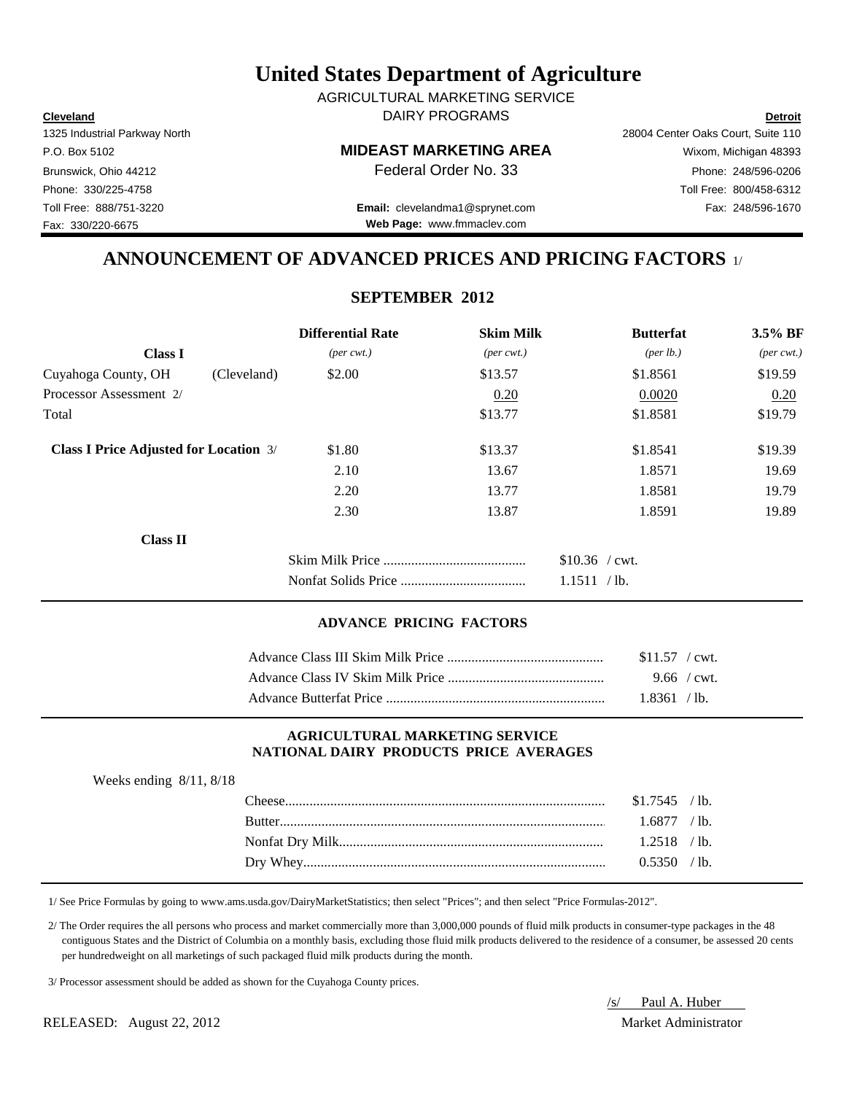**Cleveland Detroit** DAIRY PROGRAMS AGRICULTURAL MARKETING SERVICE

Fax: 330/220-6675

P.O. Box 5102 **MIDEAST MARKETING AREA** Wixom, Michigan 48393

Toll Free: 888/751-3220 Fax: 248/596-1670 **Email:** clevelandma1@sprynet.com **Web Page:** www.fmmaclev.com

1325 Industrial Parkway North 28004 Center Oaks Court, Suite 110 Brunswick, Ohio 44212 **Phone: 248/596-0206 Federal Order No. 33** Phone: 248/596-0206 Phone: 330/225-4758 Toll Free: 800/458-6312

### **ANNOUNCEMENT OF ADVANCED PRICES AND PRICING FACTORS** 1/

#### **SEPTEMBER 2012**

|                                               | <b>Differential Rate</b>    | <b>Skim Milk</b>            | <b>Butterfat</b>                | $3.5\%$ BF                  |
|-----------------------------------------------|-----------------------------|-----------------------------|---------------------------------|-----------------------------|
| <b>Class I</b>                                | $(\text{per} \text{ cwt.})$ | $(\text{per} \text{ cwt.})$ | ${\rm (per \, lb.)}$            | $(\text{per} \text{ cwt.})$ |
| Cuyahoga County, OH<br>(Cleveland)            | \$2.00                      | \$13.57                     | \$1.8561                        | \$19.59                     |
| Processor Assessment 2/                       |                             | 0.20                        | 0.0020                          | 0.20                        |
| Total                                         |                             | \$13.77                     | \$1.8581                        | \$19.79                     |
| <b>Class I Price Adjusted for Location 3/</b> | \$1.80                      | \$13.37                     | \$1.8541                        | \$19.39                     |
|                                               | 2.10                        | 13.67                       | 1.8571                          | 19.69                       |
|                                               | 2.20                        | 13.77                       | 1.8581                          | 19.79                       |
|                                               | 2.30                        | 13.87                       | 1.8591                          | 19.89                       |
| <b>Class II</b>                               |                             |                             |                                 |                             |
|                                               |                             |                             | $$10.36$ / cwt.<br>1.1511 / lb. |                             |

#### **ADVANCE PRICING FACTORS**

| $$11.57$ / cwt. |
|-----------------|
| $9.66$ / cwt.   |
| 1.8361 / h      |

#### **AGRICULTURAL MARKETING SERVICE NATIONAL DAIRY PRODUCTS PRICE AVERAGES**

| Weeks ending $8/11$ , $8/18$ |                  |
|------------------------------|------------------|
|                              | $\mathbf{Check}$ |

| $1.6877$ /lb. |  |
|---------------|--|
|               |  |
| $0.5350$ /lb. |  |

1/ See Price Formulas by going to www.ams.usda.gov/DairyMarketStatistics; then select "Prices"; and then select "Price Formulas-2012".

 2/ The Order requires the all persons who process and market commercially more than 3,000,000 pounds of fluid milk products in consumer-type packages in the 48 contiguous States and the District of Columbia on a monthly basis, excluding those fluid milk products delivered to the residence of a consumer, be assessed 20 cents per hundredweight on all marketings of such packaged fluid milk products during the month.

3/ Processor assessment should be added as shown for the Cuyahoga County prices.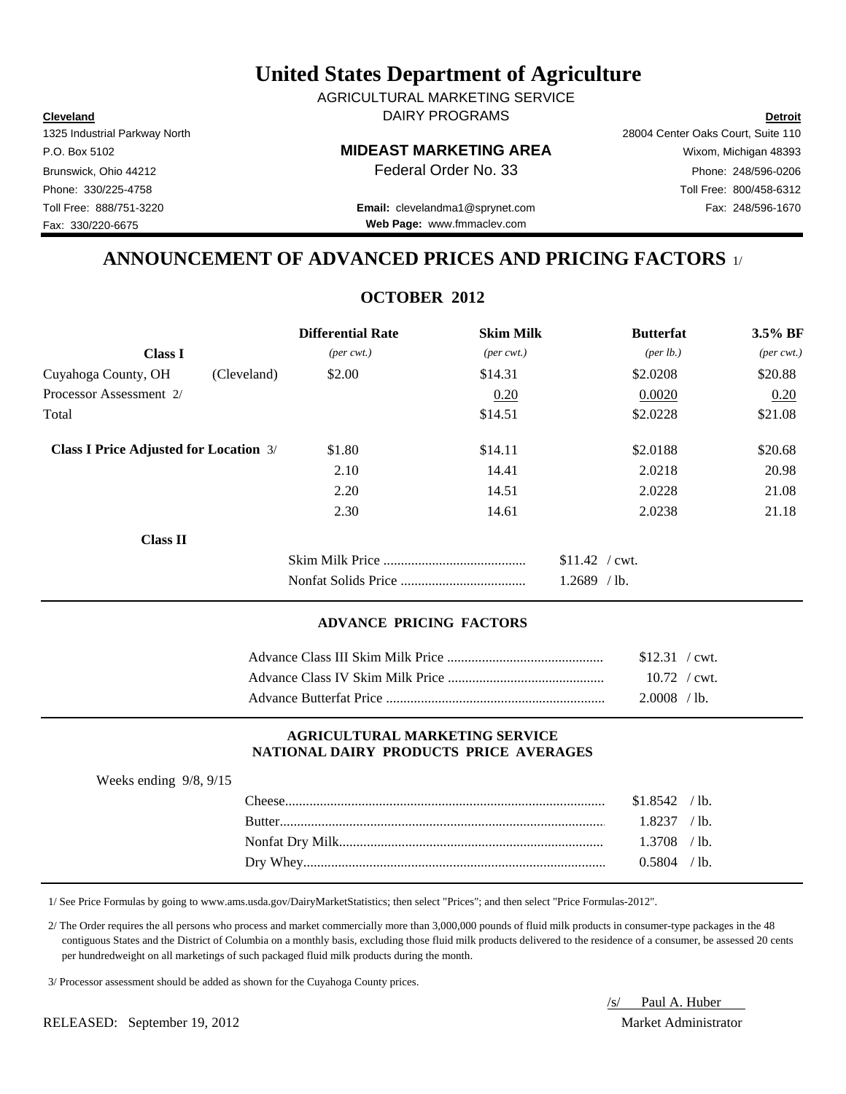**Cleveland Detroit** DAIRY PROGRAMS AGRICULTURAL MARKETING SERVICE

Fax: 330/220-6675

P.O. Box 5102 **MIDEAST MARKETING AREA** Wixom, Michigan 48393

Toll Free: 888/751-3220 Fax: 248/596-1670 **Email:** clevelandma1@sprynet.com **Web Page:** www.fmmaclev.com

1325 Industrial Parkway North 28004 Center Oaks Court, Suite 110 Brunswick, Ohio 44212 **Phone: 248/596-0206 Federal Order No. 33** Phone: 248/596-0206 Phone: 330/225-4758 Toll Free: 800/458-6312

### **ANNOUNCEMENT OF ADVANCED PRICES AND PRICING FACTORS** 1/

### **OCTOBER 2012**

|                                               |             | <b>Differential Rate</b>    | <b>Skim Milk</b>            | <b>Butterfat</b>                 | 3.5% BF                     |
|-----------------------------------------------|-------------|-----------------------------|-----------------------------|----------------------------------|-----------------------------|
| <b>Class I</b>                                |             | $(\text{per} \text{ cwt.})$ | $(\text{per} \text{ cwt.})$ | ${\rm (per \, lb.)}$             | $(\text{per} \text{ cwt.})$ |
| Cuyahoga County, OH                           | (Cleveland) | \$2.00                      | \$14.31                     | \$2.0208                         | \$20.88                     |
| Processor Assessment 2/                       |             |                             | 0.20                        | 0.0020                           | 0.20                        |
| Total                                         |             |                             | \$14.51                     | \$2.0228                         | \$21.08                     |
| <b>Class I Price Adjusted for Location 3/</b> |             | \$1.80                      | \$14.11                     | \$2.0188                         | \$20.68                     |
|                                               |             | 2.10                        | 14.41                       | 2.0218                           | 20.98                       |
|                                               |             | 2.20                        | 14.51                       | 2.0228                           | 21.08                       |
|                                               |             | 2.30                        | 14.61                       | 2.0238                           | 21.18                       |
| <b>Class II</b>                               |             |                             |                             |                                  |                             |
|                                               |             |                             |                             | $$11.42$ / cwt.<br>$1.2689$ /lb. |                             |

#### **ADVANCE PRICING FACTORS**

| $$12.31$ / cwt. |  |
|-----------------|--|
| $10.72$ / cwt.  |  |
| $2.0008$ /lb.   |  |

#### **AGRICULTURAL MARKETING SERVICE NATIONAL DAIRY PRODUCTS PRICE AVERAGES**

| Weeks ending $9/8$ , $9/15$ |                |  |
|-----------------------------|----------------|--|
|                             | $$1.8542$ /lb. |  |
|                             | $1.8237$ /lb.  |  |
|                             | $1.3708$ /lb.  |  |
|                             | $0.5804$ /lb.  |  |
|                             |                |  |

1/ See Price Formulas by going to www.ams.usda.gov/DairyMarketStatistics; then select "Prices"; and then select "Price Formulas-2012".

 2/ The Order requires the all persons who process and market commercially more than 3,000,000 pounds of fluid milk products in consumer-type packages in the 48 contiguous States and the District of Columbia on a monthly basis, excluding those fluid milk products delivered to the residence of a consumer, be assessed 20 cents per hundredweight on all marketings of such packaged fluid milk products during the month.

3/ Processor assessment should be added as shown for the Cuyahoga County prices.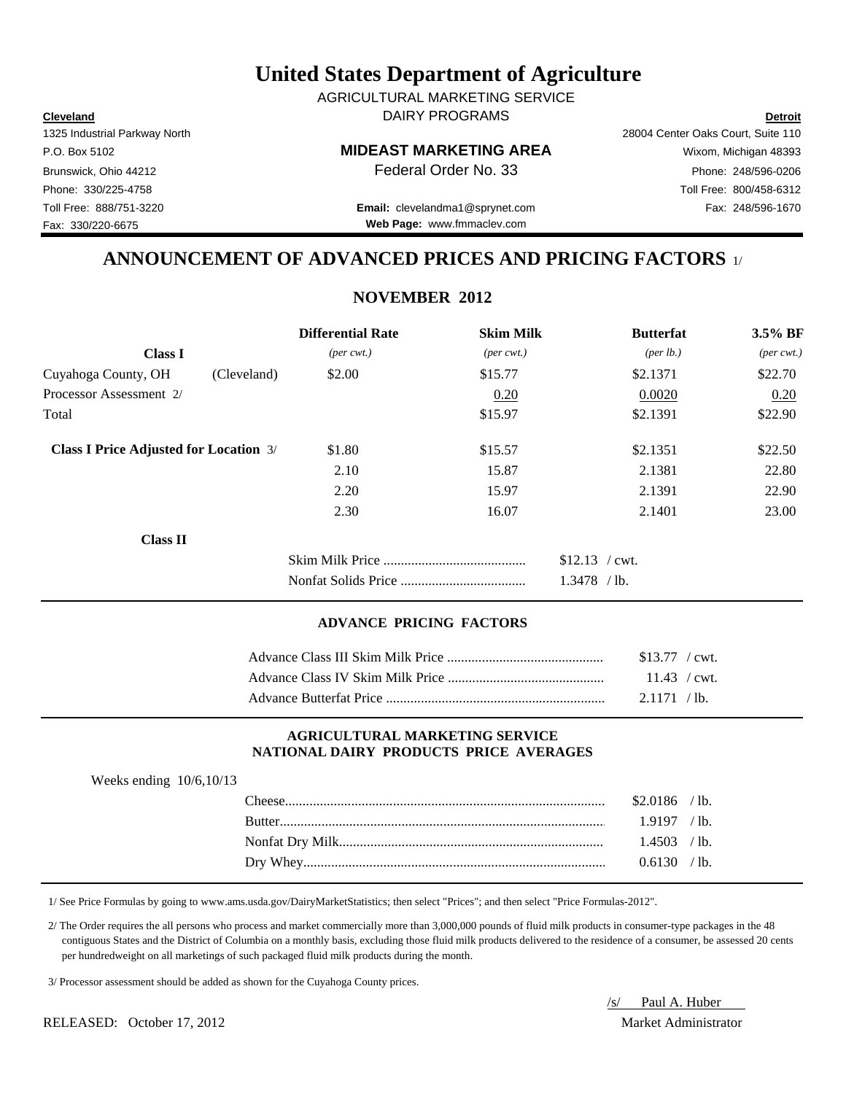**Cleveland Detroit** DAIRY PROGRAMS AGRICULTURAL MARKETING SERVICE

Fax: 330/220-6675

P.O. Box 5102 **MIDEAST MARKETING AREA** Wixom, Michigan 48393

Toll Free: 888/751-3220 Fax: 248/596-1670 **Email:** clevelandma1@sprynet.com **Web Page:** www.fmmaclev.com

1325 Industrial Parkway North 28004 Center Oaks Court, Suite 110 Brunswick, Ohio 44212 **Phone: 248/596-0206 Federal Order No. 33** Phone: 248/596-0206 Phone: 330/225-4758 Toll Free: 800/458-6312

### **ANNOUNCEMENT OF ADVANCED PRICES AND PRICING FACTORS** 1/

#### **NOVEMBER 2012**

|                                               |             | <b>Differential Rate</b>    | <b>Skim Milk</b>            | <b>Butterfat</b>                 | $3.5\%$ BF                  |
|-----------------------------------------------|-------------|-----------------------------|-----------------------------|----------------------------------|-----------------------------|
| <b>Class I</b>                                |             | $(\text{per} \text{ cwt.})$ | $(\text{per} \text{ cwt.})$ | ${\rm (per \, lb.)}$             | $(\text{per} \text{ cwt.})$ |
| Cuyahoga County, OH                           | (Cleveland) | \$2.00                      | \$15.77                     | \$2.1371                         | \$22.70                     |
| Processor Assessment 2/                       |             |                             | 0.20                        | 0.0020                           | 0.20                        |
| Total                                         |             |                             | \$15.97                     | \$2.1391                         | \$22.90                     |
| <b>Class I Price Adjusted for Location 3/</b> |             | \$1.80                      | \$15.57                     | \$2.1351                         | \$22.50                     |
|                                               |             | 2.10                        | 15.87                       | 2.1381                           | 22.80                       |
|                                               |             | 2.20                        | 15.97                       | 2.1391                           | 22.90                       |
|                                               |             | 2.30                        | 16.07                       | 2.1401                           | 23.00                       |
| <b>Class II</b>                               |             |                             |                             |                                  |                             |
|                                               |             |                             |                             | $$12.13$ / cwt.<br>$1.3478$ /lb. |                             |

#### **ADVANCE PRICING FACTORS**

| $$13.77$ / cwt. |  |
|-----------------|--|
|                 |  |
| 2.1171 / lb.    |  |

#### **AGRICULTURAL MARKETING SERVICE NATIONAL DAIRY PRODUCTS PRICE AVERAGES**

| Weeks ending $10/6, 10/13$ |  |                |  |
|----------------------------|--|----------------|--|
|                            |  | $$2.0186$ /lb. |  |
|                            |  | $1.9197$ /lb.  |  |
|                            |  | $1.4503$ /lb.  |  |
|                            |  | 0.6130 / h     |  |

1/ See Price Formulas by going to www.ams.usda.gov/DairyMarketStatistics; then select "Prices"; and then select "Price Formulas-2012".

 2/ The Order requires the all persons who process and market commercially more than 3,000,000 pounds of fluid milk products in consumer-type packages in the 48 contiguous States and the District of Columbia on a monthly basis, excluding those fluid milk products delivered to the residence of a consumer, be assessed 20 cents per hundredweight on all marketings of such packaged fluid milk products during the month.

3/ Processor assessment should be added as shown for the Cuyahoga County prices.